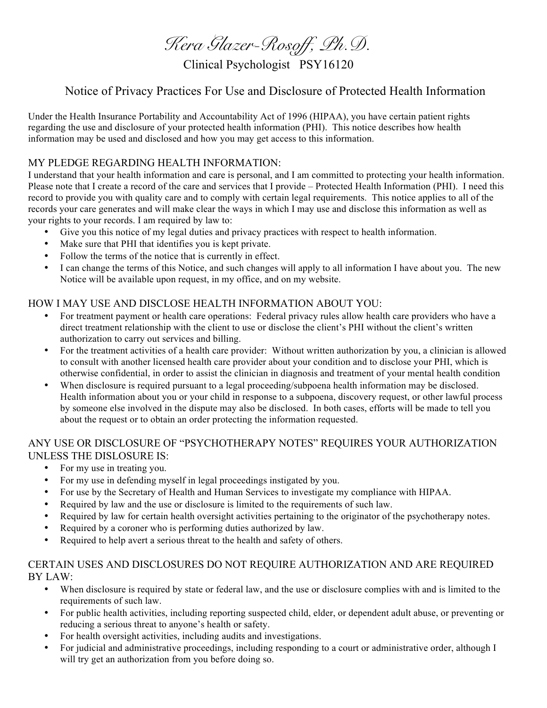*Kera Glazer-Rosoff, Ph.D.*

Clinical Psychologist PSY16120

# Notice of Privacy Practices For Use and Disclosure of Protected Health Information

Under the Health Insurance Portability and Accountability Act of 1996 (HIPAA), you have certain patient rights regarding the use and disclosure of your protected health information (PHI). This notice describes how health information may be used and disclosed and how you may get access to this information.

# MY PLEDGE REGARDING HEALTH INFORMATION:

I understand that your health information and care is personal, and I am committed to protecting your health information. Please note that I create a record of the care and services that I provide – Protected Health Information (PHI). I need this record to provide you with quality care and to comply with certain legal requirements. This notice applies to all of the records your care generates and will make clear the ways in which I may use and disclose this information as well as your rights to your records. I am required by law to:

- Give you this notice of my legal duties and privacy practices with respect to health information.
- Make sure that PHI that identifies you is kept private.
- Follow the terms of the notice that is currently in effect.
- I can change the terms of this Notice, and such changes will apply to all information I have about you. The new Notice will be available upon request, in my office, and on my website.

# HOW I MAY USE AND DISCLOSE HEALTH INFORMATION ABOUT YOU:

- For treatment payment or health care operations: Federal privacy rules allow health care providers who have a direct treatment relationship with the client to use or disclose the client's PHI without the client's written authorization to carry out services and billing.
- For the treatment activities of a health care provider: Without written authorization by you, a clinician is allowed to consult with another licensed health care provider about your condition and to disclose your PHI, which is otherwise confidential, in order to assist the clinician in diagnosis and treatment of your mental health condition
- When disclosure is required pursuant to a legal proceeding/subpoena health information may be disclosed. Health information about you or your child in response to a subpoena, discovery request, or other lawful process by someone else involved in the dispute may also be disclosed. In both cases, efforts will be made to tell you about the request or to obtain an order protecting the information requested.

### ANY USE OR DISCLOSURE OF "PSYCHOTHERAPY NOTES" REQUIRES YOUR AUTHORIZATION UNLESS THE DISLOSURE IS:

- For my use in treating you.
- For my use in defending myself in legal proceedings instigated by you.
- For use by the Secretary of Health and Human Services to investigate my compliance with HIPAA.
- Required by law and the use or disclosure is limited to the requirements of such law.
- Required by law for certain health oversight activities pertaining to the originator of the psychotherapy notes.
- Required by a coroner who is performing duties authorized by law.
- Required to help avert a serious threat to the health and safety of others.

### CERTAIN USES AND DISCLOSURES DO NOT REQUIRE AUTHORIZATION AND ARE REQUIRED BY LAW:

- When disclosure is required by state or federal law, and the use or disclosure complies with and is limited to the requirements of such law.
- For public health activities, including reporting suspected child, elder, or dependent adult abuse, or preventing or reducing a serious threat to anyone's health or safety.
- For health oversight activities, including audits and investigations.
- For judicial and administrative proceedings, including responding to a court or administrative order, although I will try get an authorization from you before doing so.